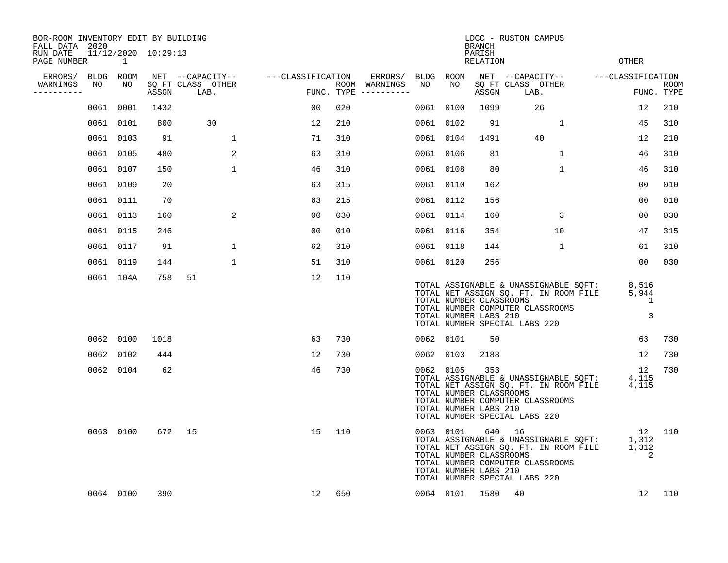| BOR-ROOM INVENTORY EDIT BY BUILDING<br>FALL DATA 2020 |    |                |                     |                           |                                    |     |                                      |           |           | <b>BRANCH</b>                                           | LDCC - RUSTON CAMPUS                    |                                  |                                       |                                                                                                                 |                           |
|-------------------------------------------------------|----|----------------|---------------------|---------------------------|------------------------------------|-----|--------------------------------------|-----------|-----------|---------------------------------------------------------|-----------------------------------------|----------------------------------|---------------------------------------|-----------------------------------------------------------------------------------------------------------------|---------------------------|
| RUN DATE<br>PAGE NUMBER                               |    | $\overline{1}$ | 11/12/2020 10:29:13 |                           |                                    |     |                                      |           |           | PARISH<br>RELATION                                      |                                         |                                  |                                       | <b>OTHER</b>                                                                                                    |                           |
| ERRORS/                                               |    | BLDG ROOM      |                     |                           | NET --CAPACITY-- ---CLASSIFICATION |     | ERRORS/ BLDG ROOM                    |           |           |                                                         |                                         |                                  |                                       | NET --CAPACITY-- ---CLASSIFICATION                                                                              |                           |
| WARNINGS<br>----------                                | NO | NO             | ASSGN               | SQ FT CLASS OTHER<br>LAB. | د لاعدیت<br>استق                   |     | ROOM WARNINGS<br>FUNC. TYPE $------$ | NO        | NO        | ASSGN                                                   | LAB.                                    | SQ FT CLASS OTHER                |                                       |                                                                                                                 | <b>ROOM</b><br>FUNC. TYPE |
|                                                       |    | 0061 0001      | 1432                |                           | 00                                 | 020 |                                      | 0061 0100 |           | 1099                                                    |                                         | 26                               |                                       | 12                                                                                                              | 210                       |
|                                                       |    | 0061 0101      | 800                 | 30                        | 12                                 | 210 |                                      | 0061 0102 |           | 91                                                      |                                         | 1                                |                                       | 45                                                                                                              | 310                       |
|                                                       |    | 0061 0103      | 91                  | 1                         | 71                                 | 310 |                                      | 0061 0104 |           | 1491                                                    |                                         | 40                               |                                       | 12                                                                                                              | 210                       |
|                                                       |    | 0061 0105      | 480                 | 2                         | 63                                 | 310 |                                      | 0061 0106 |           | 81                                                      |                                         | 1                                |                                       | 46                                                                                                              | 310                       |
|                                                       |    | 0061 0107      | 150                 | $\mathbf{1}$              | 46                                 | 310 |                                      | 0061 0108 |           | 80                                                      |                                         | $\mathbf{1}$                     |                                       | 46                                                                                                              | 310                       |
|                                                       |    | 0061 0109      | 20                  |                           | 63                                 | 315 |                                      | 0061 0110 |           | 162                                                     |                                         |                                  |                                       | 00                                                                                                              | 010                       |
|                                                       |    | 0061 0111      | 70                  |                           | 63                                 | 215 |                                      | 0061 0112 |           | 156                                                     |                                         |                                  |                                       | 00                                                                                                              | 010                       |
|                                                       |    | 0061 0113      | 160                 | 2                         | 0 <sub>0</sub>                     | 030 |                                      | 0061 0114 |           | 160                                                     |                                         | 3                                |                                       | 00                                                                                                              | 030                       |
|                                                       |    | 0061 0115      | 246                 |                           | 00                                 | 010 |                                      | 0061 0116 |           | 354                                                     |                                         | 10                               |                                       | 47                                                                                                              | 315                       |
|                                                       |    | 0061 0117      | 91                  | $\mathbf{1}$              | 62                                 | 310 |                                      | 0061 0118 |           | 144                                                     |                                         | 1                                |                                       | 61                                                                                                              | 310                       |
|                                                       |    | 0061 0119      | 144                 | $\mathbf{1}$              | 51                                 | 310 |                                      | 0061 0120 |           | 256                                                     |                                         |                                  |                                       | 00                                                                                                              | 030                       |
|                                                       |    | 0061 104A      | 758                 | 51                        | 12                                 | 110 |                                      |           |           | TOTAL NUMBER CLASSROOMS<br>TOTAL NUMBER LABS 210        | TOTAL NUMBER SPECIAL LABS 220           | TOTAL NUMBER COMPUTER CLASSROOMS |                                       | TOTAL ASSIGNABLE & UNASSIGNABLE SQFT: 8,516<br>TOTAL NET ASSIGN SQ. FT. IN ROOM FILE 5,944<br>1<br>3            |                           |
|                                                       |    | 0062 0100      | 1018                |                           | 63                                 | 730 |                                      |           | 0062 0101 | 50                                                      |                                         |                                  |                                       | 63                                                                                                              | 730                       |
|                                                       |    | 0062 0102      | 444                 |                           | 12                                 | 730 |                                      |           | 0062 0103 | 2188                                                    |                                         |                                  |                                       | 12                                                                                                              | 730                       |
|                                                       |    | 0062 0104      | 62                  |                           | 46                                 | 730 |                                      |           | 0062 0105 | 353<br>TOTAL NUMBER CLASSROOMS<br>TOTAL NUMBER LABS 210 | TOTAL NUMBER SPECIAL LABS 220           | TOTAL NUMBER COMPUTER CLASSROOMS |                                       | 12<br>TOTAL ASSIGNABLE & UNASSIGNABLE SQFT: 4,115<br>TOTAL NET ASSIGN SQ. FT. IN ROOM FILE 4, 115               | 730                       |
|                                                       |    | 0063 0100      | 672                 | 15                        | 15                                 | 110 |                                      |           | 0063 0101 | TOTAL NUMBER CLASSROOMS<br>TOTAL NUMBER LABS 210        | 640 16<br>TOTAL NUMBER SPECIAL LABS 220 | TOTAL NUMBER COMPUTER CLASSROOMS | TOTAL NET ASSIGN SQ. FT. IN ROOM FILE | 12 110<br>12<br>TOTAL ASSIGNABLE & UNASSIGNABLE SQFT: 1,312<br>TOTAL NET ASSIGN SQ. FT. IN ROOM FILE 1,312<br>2 |                           |
|                                                       |    | 0064 0100      | 390                 |                           | 12                                 | 650 |                                      |           |           | 0064 0101 1580                                          | 40                                      |                                  |                                       | 12                                                                                                              | 110                       |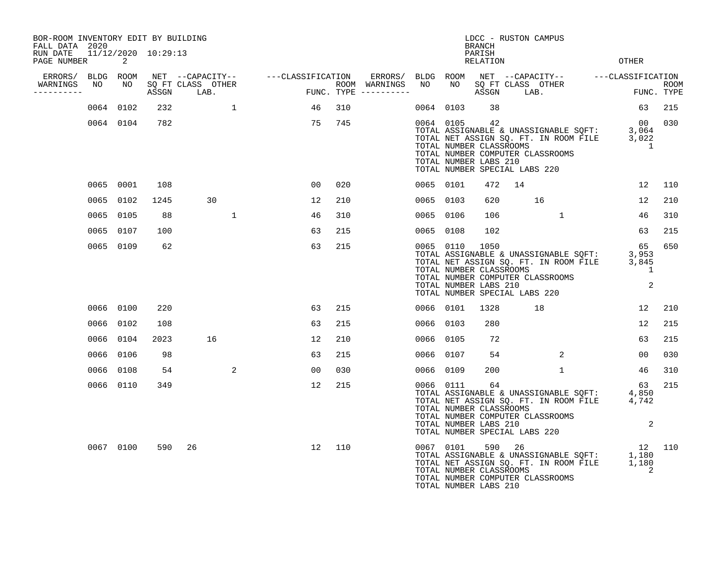| BOR-ROOM INVENTORY EDIT BY BUILDING<br>FALL DATA 2020 |           |           |       |                           |                                    |     |                                      |           |           | <b>BRANCH</b>                                                                             |    | LDCC - RUSTON CAMPUS                                                                                                               |                    |     |
|-------------------------------------------------------|-----------|-----------|-------|---------------------------|------------------------------------|-----|--------------------------------------|-----------|-----------|-------------------------------------------------------------------------------------------|----|------------------------------------------------------------------------------------------------------------------------------------|--------------------|-----|
| RUN DATE 11/12/2020 10:29:13<br>PAGE NUMBER           |           | 2         |       |                           |                                    |     |                                      |           |           | PARISH<br>RELATION                                                                        |    |                                                                                                                                    | OTHER              |     |
| ERRORS/ BLDG ROOM                                     |           |           |       |                           | NET --CAPACITY-- ---CLASSIFICATION |     |                                      |           |           |                                                                                           |    |                                                                                                                                    |                    |     |
| WARNINGS<br>----------                                | NO        | NO        | ASSGN | SO FT CLASS OTHER<br>LAB. | FUN                                |     | ROOM WARNINGS<br>FUNC. TYPE $------$ |           |           | ASSGN                                                                                     |    | LAB.                                                                                                                               | ROOM<br>FUNC. TYPE |     |
|                                                       |           | 0064 0102 | 232   | $\overline{1}$            | 46                                 | 310 |                                      |           | 0064 0103 | 38                                                                                        |    |                                                                                                                                    | 63                 | 215 |
|                                                       |           | 0064 0104 | 782   |                           | 75                                 | 745 |                                      |           | 0064 0105 | 42<br>TOTAL NUMBER CLASSROOMS<br>TOTAL NUMBER LABS 210<br>TOTAL NUMBER SPECIAL LABS 220   |    | TOTAL ASSIGNABLE & UNASSIGNABLE SOFT: 3,064<br>TOTAL NET ASSIGN SQ. FT. IN ROOM FILE 3,022<br>TOTAL NUMBER COMPUTER CLASSROOMS     | 00 030<br>1        |     |
|                                                       |           | 0065 0001 | 108   |                           | 00                                 | 020 |                                      |           | 0065 0101 | 472                                                                                       | 14 |                                                                                                                                    | 12                 | 110 |
|                                                       |           | 0065 0102 | 1245  | 30                        | 12                                 | 210 |                                      |           | 0065 0103 | 620                                                                                       |    | 16                                                                                                                                 | 12                 | 210 |
|                                                       | 0065 0105 |           | 88    | $\mathbf{1}$              | 46                                 | 310 |                                      | 0065      | 0106      | 106                                                                                       |    | 1                                                                                                                                  | 46                 | 310 |
|                                                       |           | 0065 0107 | 100   |                           | 63                                 | 215 |                                      |           | 0065 0108 | 102                                                                                       |    |                                                                                                                                    | 63                 | 215 |
|                                                       |           | 0065 0109 | 62    |                           | 63                                 | 215 |                                      |           | 0065 0110 | 1050<br>TOTAL NUMBER CLASSROOMS<br>TOTAL NUMBER LABS 210<br>TOTAL NUMBER SPECIAL LABS 220 |    | TOTAL ASSIGNABLE & UNASSIGNABLE SQFT: 3,953<br>TOTAL NET ASSIGN SQ. FT. IN ROOM FILE 3,845<br>TOTAL NUMBER COMPUTER CLASSROOMS     | 65<br>1<br>2       | 650 |
|                                                       |           | 0066 0100 | 220   |                           | 63                                 | 215 |                                      |           | 0066 0101 | 1328                                                                                      |    | 18                                                                                                                                 | 12                 | 210 |
|                                                       |           | 0066 0102 | 108   |                           | 63                                 | 215 |                                      |           | 0066 0103 | 280                                                                                       |    |                                                                                                                                    | 12                 | 215 |
|                                                       |           | 0066 0104 | 2023  | 16                        | 12                                 | 210 |                                      | 0066      | 0105      | 72                                                                                        |    |                                                                                                                                    | 63                 | 215 |
|                                                       |           | 0066 0106 | 98    |                           | 63                                 | 215 |                                      |           | 0066 0107 | 54                                                                                        |    | 2                                                                                                                                  | 00                 | 030 |
|                                                       |           | 0066 0108 | 54    | 2                         | 00                                 | 030 |                                      | 0066 0109 |           | 200                                                                                       |    | $\mathbf{1}$                                                                                                                       | 46                 | 310 |
|                                                       |           | 0066 0110 | 349   |                           | 12                                 | 215 |                                      |           | 0066 0111 | 64<br>TOTAL NUMBER CLASSROOMS<br>TOTAL NUMBER LABS 210<br>TOTAL NUMBER SPECIAL LABS 220   |    | TOTAL ASSIGNABLE & UNASSIGNABLE SOFT: 4,850<br>TOTAL NET ASSIGN SQ. FT. IN ROOM FILE<br>TOTAL NUMBER COMPUTER CLASSROOMS           | 63<br>4,742<br>2   | 215 |
|                                                       |           | 0067 0100 | 590   | 26                        | 12                                 | 110 |                                      |           |           | TOTAL NUMBER CLASSROOMS<br>TOTAL NUMBER LABS 210                                          |    | 12 110<br>TOTAL ASSIGNABLE & UNASSIGNABLE SQFT: 1,180<br>TOTAL NET ASSIGN SQ. FT. IN ROOM FILE<br>TOTAL NUMBER COMPUTER CLASSROOMS | 2                  |     |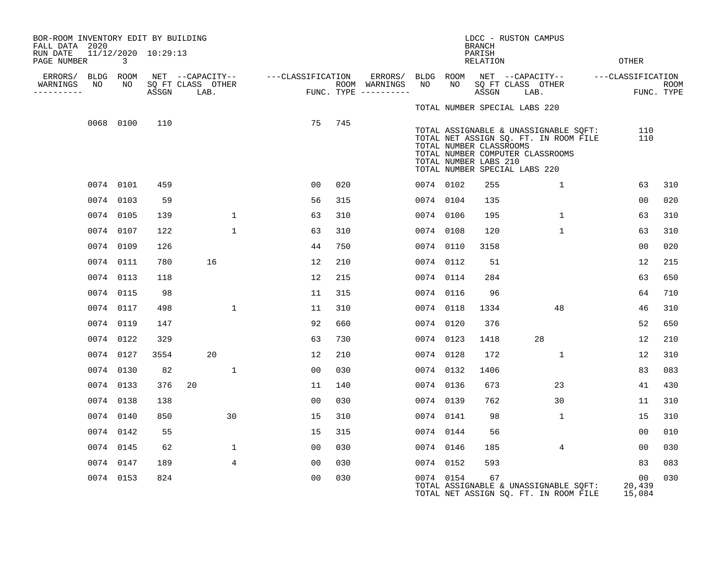| BOR-ROOM INVENTORY EDIT BY BUILDING<br>FALL DATA 2020 |      |                 |                     |                                       |                   |     |                          |                 |                                                                                   | <b>BRANCH</b>             | LDCC - RUSTON CAMPUS |                                                                                                                    |                        |             |
|-------------------------------------------------------|------|-----------------|---------------------|---------------------------------------|-------------------|-----|--------------------------|-----------------|-----------------------------------------------------------------------------------|---------------------------|----------------------|--------------------------------------------------------------------------------------------------------------------|------------------------|-------------|
| RUN DATE<br>PAGE NUMBER                               |      | 3               | 11/12/2020 10:29:13 |                                       |                   |     |                          |                 |                                                                                   | PARISH<br><b>RELATION</b> |                      |                                                                                                                    | OTHER                  |             |
| ERRORS/<br>WARNINGS                                   | NO   | BLDG ROOM<br>NO |                     | NET --CAPACITY--<br>SQ FT CLASS OTHER | ---CLASSIFICATION |     | ERRORS/<br>ROOM WARNINGS | BLDG ROOM<br>NO | NO                                                                                |                           |                      | NET --CAPACITY--<br>SQ FT CLASS OTHER                                                                              | ---CLASSIFICATION      | <b>ROOM</b> |
| ---------                                             |      |                 | ASSGN               | LAB.                                  |                   |     | FUNC. TYPE $------$      |                 |                                                                                   | ASSGN                     |                      | LAB.                                                                                                               |                        | FUNC. TYPE  |
|                                                       |      |                 |                     |                                       |                   |     |                          |                 | TOTAL NUMBER SPECIAL LABS 220                                                     |                           |                      |                                                                                                                    |                        |             |
|                                                       |      | 0068 0100       | 110                 |                                       | 75                | 745 |                          |                 | TOTAL NUMBER CLASSROOMS<br>TOTAL NUMBER LABS 210<br>TOTAL NUMBER SPECIAL LABS 220 |                           |                      | TOTAL ASSIGNABLE & UNASSIGNABLE SQFT:<br>TOTAL NET ASSIGN SQ. FT. IN ROOM FILE<br>TOTAL NUMBER COMPUTER CLASSROOMS | 110<br>110             |             |
|                                                       |      | 0074 0101       | 459                 |                                       | 0 <sub>0</sub>    | 020 |                          | 0074 0102       |                                                                                   | 255                       |                      | $\mathbf 1$                                                                                                        | 63                     | 310         |
|                                                       |      | 0074 0103       | 59                  |                                       | 56                | 315 |                          | 0074 0104       |                                                                                   | 135                       |                      |                                                                                                                    | 00                     | 020         |
|                                                       |      | 0074 0105       | 139                 | $\mathbf{1}$                          | 63                | 310 |                          |                 | 0074 0106                                                                         | 195                       |                      | $\mathbf{1}$                                                                                                       | 63                     | 310         |
|                                                       | 0074 | 0107            | 122                 | $\mathbf 1$                           | 63                | 310 |                          | 0074 0108       |                                                                                   | 120                       |                      | $\mathbf 1$                                                                                                        | 63                     | 310         |
|                                                       |      | 0074 0109       | 126                 |                                       | 44                | 750 |                          | 0074 0110       |                                                                                   | 3158                      |                      |                                                                                                                    | 0 <sub>0</sub>         | 020         |
|                                                       |      | 0074 0111       | 780                 | 16                                    | 12                | 210 |                          | 0074 0112       |                                                                                   | 51                        |                      |                                                                                                                    | 12                     | 215         |
|                                                       |      | 0074 0113       | 118                 |                                       | 12                | 215 |                          |                 | 0074 0114                                                                         | 284                       |                      |                                                                                                                    | 63                     | 650         |
|                                                       |      | 0074 0115       | 98                  |                                       | 11                | 315 |                          |                 | 0074 0116                                                                         | 96                        |                      |                                                                                                                    | 64                     | 710         |
|                                                       |      | 0074 0117       | 498                 | $\mathbf 1$                           | 11                | 310 |                          | 0074 0118       |                                                                                   | 1334                      |                      | 48                                                                                                                 | 46                     | 310         |
|                                                       |      | 0074 0119       | 147                 |                                       | 92                | 660 |                          | 0074 0120       |                                                                                   | 376                       |                      |                                                                                                                    | 52                     | 650         |
|                                                       |      | 0074 0122       | 329                 |                                       | 63                | 730 |                          | 0074 0123       |                                                                                   | 1418                      |                      | 28                                                                                                                 | 12                     | 210         |
|                                                       | 0074 | 0127            | 3554                | 20                                    | 12                | 210 |                          | 0074 0128       |                                                                                   | 172                       |                      | $\mathbf{1}$                                                                                                       | 12                     | 310         |
|                                                       |      | 0074 0130       | 82                  | $\mathbf{1}$                          | 00                | 030 |                          |                 | 0074 0132                                                                         | 1406                      |                      |                                                                                                                    | 83                     | 083         |
|                                                       |      | 0074 0133       | 376                 | 20                                    | 11                | 140 |                          |                 | 0074 0136                                                                         | 673                       |                      | 23                                                                                                                 | 41                     | 430         |
|                                                       |      | 0074 0138       | 138                 |                                       | 0 <sub>0</sub>    | 030 |                          | 0074 0139       |                                                                                   | 762                       |                      | 30                                                                                                                 | 11                     | 310         |
|                                                       | 0074 | 0140            | 850                 | 30                                    | 15                | 310 |                          | 0074 0141       |                                                                                   | 98                        |                      | 1                                                                                                                  | 15                     | 310         |
|                                                       |      | 0074 0142       | 55                  |                                       | 15                | 315 |                          |                 | 0074 0144                                                                         | 56                        |                      |                                                                                                                    | 00                     | 010         |
|                                                       |      | 0074 0145       | 62                  | 1                                     | 00                | 030 |                          | 0074 0146       |                                                                                   | 185                       |                      | 4                                                                                                                  | 00                     | 030         |
|                                                       |      | 0074 0147       | 189                 | 4                                     | 0 <sub>0</sub>    | 030 |                          |                 | 0074 0152                                                                         | 593                       |                      |                                                                                                                    | 83                     | 083         |
|                                                       | 0074 | 0153            | 824                 |                                       | 0 <sub>0</sub>    | 030 |                          |                 | 0074 0154                                                                         | 67                        |                      | TOTAL ASSIGNABLE & UNASSIGNABLE SQFT:<br>TOTAL NET ASSIGN SQ. FT. IN ROOM FILE                                     | 00<br>20,439<br>15,084 | 030         |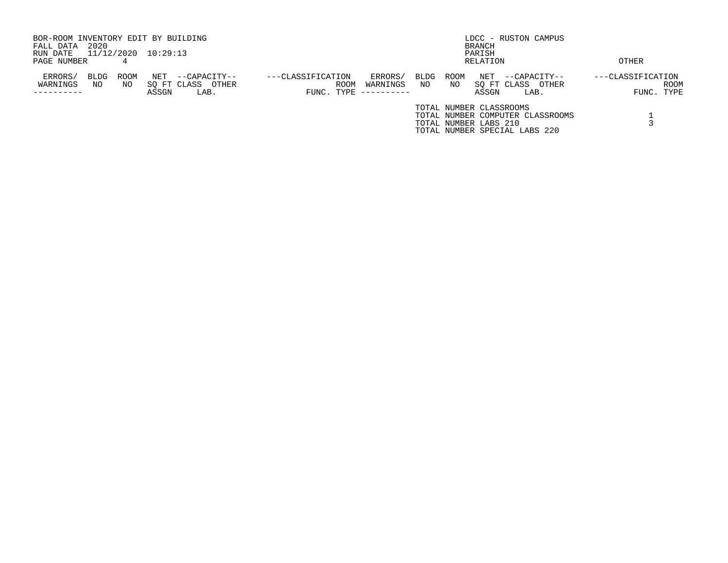| BOR-ROOM INVENTORY EDIT BY BUILDING<br>2020<br>FALL DATA<br>11/12/2020 10:29:13<br>RUN DATE |            |              |                                           |                   |                    |                                   |                   |                                                  | BRANCH<br>PARISH            | LDCC - RUSTON CAMPUS                                              |                   |                           |
|---------------------------------------------------------------------------------------------|------------|--------------|-------------------------------------------|-------------------|--------------------|-----------------------------------|-------------------|--------------------------------------------------|-----------------------------|-------------------------------------------------------------------|-------------------|---------------------------|
| PAGE NUMBER                                                                                 | 4          |              |                                           |                   |                    |                                   |                   |                                                  | RELATION                    |                                                                   | OTHER             |                           |
| ERRORS/<br>BLDG<br>WARNINGS<br>NO.                                                          | ROOM<br>NO | NET<br>ASSGN | --CAPACITY--<br>SO FT CLASS OTHER<br>LAB. | ---CLASSIFICATION | ROOM<br>FUNC. TYPE | ERRORS/<br>WARNINGS<br>---------- | <b>BLDG</b><br>NO | ROOM<br>NO.                                      | NET<br>SO FT CLASS<br>ASSGN | $-$ -CAPACITY--<br>OTHER<br>LAB.                                  | ---CLASSIFICATION | <b>ROOM</b><br>FUNC. TYPE |
|                                                                                             |            |              |                                           |                   |                    |                                   |                   | TOTAL NUMBER CLASSROOMS<br>TOTAL NUMBER LABS 210 |                             | TOTAL NUMBER COMPUTER CLASSROOMS<br>TOTAL NUMBER SPECIAL LABS 220 |                   |                           |